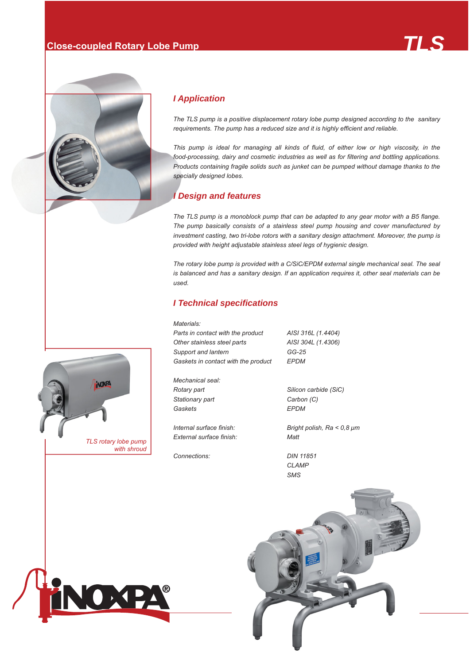# **Close-coupled Rotary Lobe Pump** *MSTLS*



# *I Application*

*The TLS pump is a positive displacement rotary lobe pump designed according to the sanitary requirements. The pump has a reduced size and it is highly efficient and reliable.* 

*This pump is ideal for managing all kinds of fluid, of either low or high viscosity, in the food-processing, dairy and cosmetic industries as well as for filtering and bottling applications. Products containing fragile solids such as junket can be pumped without damage thanks to the specially designed lobes.*

### *I Design and features*

*The TLS pump is a monoblock pump that can be adapted to any gear motor with a B5 flange. The pump basically consists of a stainless steel pump housing and cover manufactured by investment casting, two tri-lobe rotors with a sanitary design attachment. Moreover, the pump is provided with height adjustable stainless steel legs of hygienic design.*

*The rotary lobe pump is provided with a C/SiC/EPDM external single mechanical seal. The seal is balanced and has a sanitary design. If an application requires it, other seal materials can be used.*

#### *I Technical specifications*

*Materials: Parts in contact with the product AISI 316L (1.4404) Other stainless steel parts AISI 304L (1.4306) Support and lantern GG-25 Gaskets in contact with the product EPDM* 

*Mechanical seal: Stationary part Carbon (C) Gaskets EPDM*

*External surface finish: Matt*

*Connections: DIN 11851* 

*Rotary part Silicon carbide (SiC)*

*Internal surface finish: Bright polish, Ra < 0,8 μm*

 *CLAMP SMS*





OXPA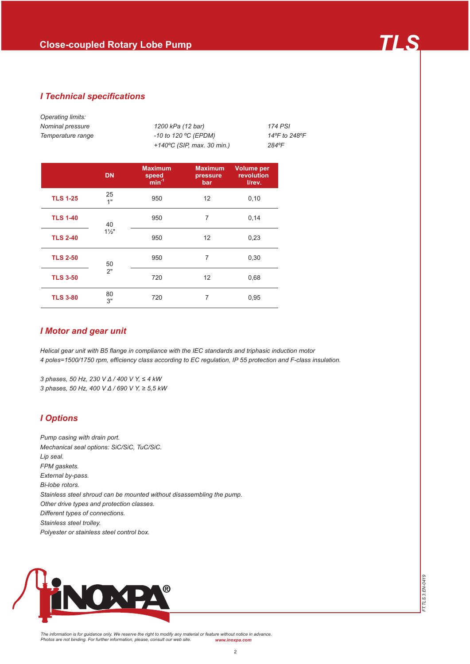### *I Technical specifications*

| Operating limits:<br>Nominal pressure<br>Temperature range |                | 1200 kPa (12 bar)<br>-10 to 120 °C (EPDM) |                                   | 174 PSI<br>14°F to 248°F                  |  |  |  |  |  |
|------------------------------------------------------------|----------------|-------------------------------------------|-----------------------------------|-------------------------------------------|--|--|--|--|--|
|                                                            |                | +140°C (SIP, max. 30 min.)<br>284°F       |                                   |                                           |  |  |  |  |  |
|                                                            | <b>DN</b>      | <b>Maximum</b><br>speed<br>$min-1$        | <b>Maximum</b><br>pressure<br>bar | <b>Volume per</b><br>revolution<br>I/rev. |  |  |  |  |  |
| <b>TLS 1-25</b>                                            | 25<br>1"       | 950                                       | $12 \overline{ }$                 | 0,10                                      |  |  |  |  |  |
| <b>TLS 1-40</b>                                            | 40             | 950                                       | $\overline{7}$<br>0,14            |                                           |  |  |  |  |  |
| <b>TLS 2-40</b>                                            | $1\frac{1}{2}$ | 950                                       | $12 \overline{ }$                 | 0,23                                      |  |  |  |  |  |
| <b>TLS 2-50</b>                                            | 50             | 950                                       | 7                                 | 0,30                                      |  |  |  |  |  |
| <b>TLS 3-50</b>                                            | 2"             | 720                                       | $12 \overline{ }$                 | 0,68                                      |  |  |  |  |  |
| <b>TLS 3-80</b>                                            | 80<br>3"       | 720                                       | 7                                 | 0,95                                      |  |  |  |  |  |

#### *I Motor and gear unit*

*Helical gear unit with B5 flange in compliance with the IEC standards and triphasic induction motor 4 poles=1500/1750 rpm, efficiency class according to EC regulation, IP 55 protection and F-class insulation.*

*3 phases, 50 Hz, 230 V Δ / 400 V Υ, ≤ 4 kW 3 phases, 50 Hz, 400 V Δ / 690 V Υ, ≥ 5,5 kW*

### *I Options*

*Pump casing with drain port. Mechanical seal options: SiC/SiC, TuC/SiC. Lip seal. FPM gaskets. External by-pass. Bi-lobe rotors. Stainless steel shroud can be mounted without disassembling the pump. Other drive types and protection classes. Different types of connections. Stainless steel trolley. Polyester or stainless steel control box.*



*The information is for guidance only. We reserve the right to modify any material or feature without notice in advance. Photos are not binding. For further information, please, consult our web site. www.inoxpa.com*

*FT.TLS.3.EN-0419*

FT.TLS.3.EN-0419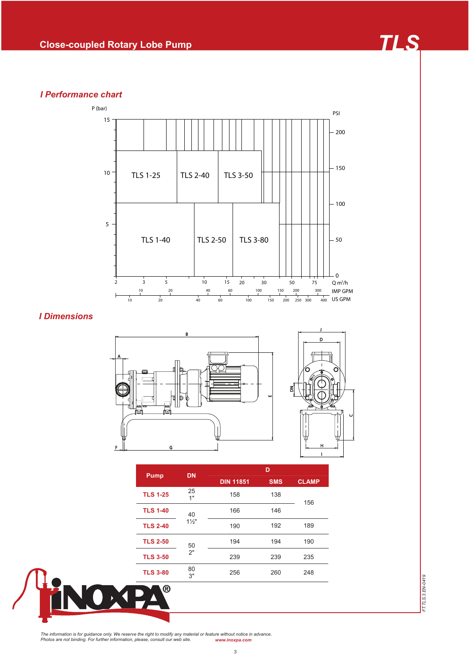# *I Performance chart*



## *I Dimensions*



| <b>Pump</b>     | <b>DN</b>      | D                |            |              |  |  |  |  |
|-----------------|----------------|------------------|------------|--------------|--|--|--|--|
|                 |                | <b>DIN 11851</b> | <b>SMS</b> | <b>CLAMP</b> |  |  |  |  |
| <b>TLS 1-25</b> | 25<br>1"       | 158              | 138        | 156          |  |  |  |  |
| <b>TLS 1-40</b> | 40             | 166              | 146        |              |  |  |  |  |
| <b>TLS 2-40</b> | $1\frac{1}{2}$ | 190              | 192        | 189          |  |  |  |  |
| <b>TLS 2-50</b> | 50             | 194              | 194        | 190          |  |  |  |  |
| <b>TLS 3-50</b> | 2"             | 239              | 239        | 235          |  |  |  |  |
| <b>TLS 3-80</b> | 80<br>3"       | 256              | 260        | 248          |  |  |  |  |
| $^\circledR$    |                |                  |            |              |  |  |  |  |



FT.TLS.3.EN-0419 *FT.TLS.3.EN-0419*

The information is for guidance only. We reserve the right to modify any material or feature without notice in advance.<br>Photos are not binding. For further information, please, consult our web site. www.inoxpa.com